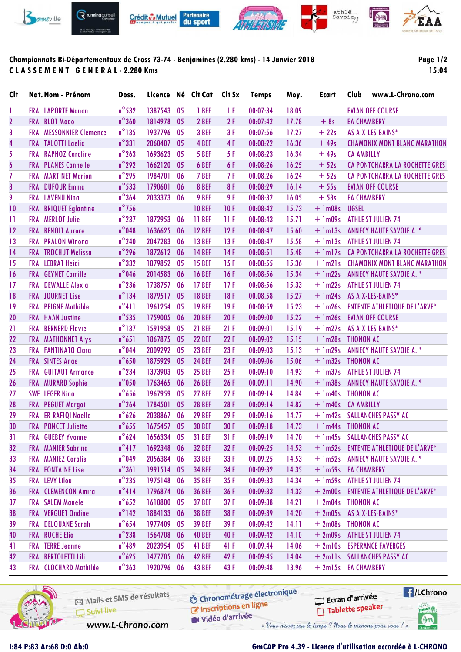

# **Championnats Bi-Départementaux de Cross 73-74 - Benjamines (2.280 kms) - 14 Janvier 2018 C L A S S E M E N T G E N E R A L - 2.280 Kms**

# **Page 1/2 15:04**

| <b>Clt</b>              |            | Nat. Nom - Prénom            | Doss.           |            |                | Licence Né Clt Cat | Clt Sx | <b>Temps</b> | Moy.  | Ecart               | Club               | www.L-Chrono.com                      |
|-------------------------|------------|------------------------------|-----------------|------------|----------------|--------------------|--------|--------------|-------|---------------------|--------------------|---------------------------------------|
| 1                       |            | <b>FRA</b> LAPORTE Manon     | $n^{\circ}$ 532 | 1387543    | 05             | 1 BEF              | 1 F    | 00:07:34     | 18.09 |                     |                    | <b>EVIAN OFF COURSE</b>               |
| $\overline{2}$          |            | FRA BLOT Mado                | $n^{\circ}360$  | 1814978    | 0 <sub>5</sub> | 2 BEF              | 2F     | 00:07:42     | 17.78 | $+8s$               | <b>EA CHAMBERY</b> |                                       |
| $\mathbf{3}$            | <b>FRA</b> | <b>MESSONNIER Clemence</b>   | $n^{\circ}$ 135 | 1937796    | 05             | 3 BEF              | 3F     | 00:07:56     | 17.27 | $+22s$              |                    | AS AIX-LES-BAINS*                     |
| $\overline{\mathbf{4}}$ |            | <b>FRA</b> TALOTTI Laelia    | $n^{\circ}331$  | 2060407    | 0 <sub>5</sub> | 4 BEF              | 4F     | 00:08:22     | 16.36 | $+49s$              |                    | <b>CHAMONIX MONT BLANC MARATHON</b>   |
| 5                       | <b>FRA</b> | <b>RAPHOZ Caroline</b>       | $n^{\circ}$ 263 | 1693623    | 05             | 5 BEF              | 5F     | 00:08:23     | 16.34 | $+49s$              | <b>CA AMBILLY</b>  |                                       |
| $\boldsymbol{6}$        |            | <b>FRA PLANES Cannelle</b>   | $n^{\circ}$ 292 | 1662120    | 0 <sub>5</sub> | 6 BEF              | 6F     | 00:08:26     | 16.25 | $+52s$              |                    | CA PONTCHARRA LA ROCHETTE GRES        |
| $\overline{I}$          | <b>FRA</b> | <b>MARTINET Marion</b>       | $n^{\circ}$ 295 | 1984701    | 06             | 7 BEF              | 7 F    | 00:08:26     | 16.24 | $+52s$              |                    | <b>CA PONTCHARRA LA ROCHETTE GRES</b> |
| $\boldsymbol{8}$        |            | <b>FRA</b> DUFOUR Emma       | $n^{\circ}$ 533 | 1790601    | 06             | 8 BEF              | 8F     | 00:08:29     | 16.14 | $+55s$              |                    | <b>EVIAN OFF COURSE</b>               |
| 9                       |            | <b>FRA</b> LAVENU Nina       | $n^{\circ}364$  | 2033373    | 06             | 9 BEF              | 9F     | 00:08:32     | 16.05 | $+58s$              | <b>EA CHAMBERY</b> |                                       |
| 10                      | <b>FRA</b> | <b>BRIQUET Eglantine</b>     | $n^{\circ}$ 756 |            |                | <b>10 BEF</b>      | 10F    | 00:08:42     | 15.73 | $+$ 1m08s           | <b>UGSEL</b>       |                                       |
| $\overline{11}$         | <b>FRA</b> | <b>MERLOT Julie</b>          | $n^{\circ}$ 237 | 1872953    | 06             | 11 BEF             | 11F    | 00:08:43     | 15.71 | $+$ 1m09s           |                    | <b>ATHLE ST JULIEN 74</b>             |
| 12                      | <b>FRA</b> | <b>BENOIT Aurore</b>         | $n^{\circ}$ 048 | 1636625    | 06             | <b>12 BEF</b>      | 12F    | 00:08:47     | 15.60 | $+$ 1m13s           |                    | <b>ANNECY HAUTE SAVOIE A. *</b>       |
| 13                      | <b>FRA</b> | <b>PRALON Winona</b>         | $n^{\circ}$ 240 | 2047283    | 06             | <b>13 BEF</b>      | 13F    | 00:08:47     | 15.58 | $+$ 1m13s           |                    | <b>ATHLE ST JULIEN 74</b>             |
| 14                      |            | <b>FRA TROCHUT Melissa</b>   | $n^{\circ}$ 296 | 1872612    | 06             | <b>14 BEF</b>      | 14F    | 00:08:51     | 15.48 | $+$ 1m17s           |                    | <b>CA PONTCHARRA LA ROCHETTE GRES</b> |
| 15                      | <b>FRA</b> | <b>LEBRAT Heidi</b>          | $n^{\circ}332$  | 1879852    | 05             | <b>15 BEF</b>      | 15F    | 00:08:55     | 15.36 | $+$ 1m21s           |                    | <b>CHAMONIX MONT BLANC MARATHON</b>   |
| 16                      | <b>FRA</b> | <b>GEYNET Camille</b>        | $n^{\circ}$ 046 | 2014583    | 06             | <b>16 BEF</b>      | 16F    | 00:08:56     | 15.34 | $+$ 1m22s           |                    | <b>ANNECY HAUTE SAVOIE A. *</b>       |
| 17                      | <b>FRA</b> | <b>DEWALLE Alexia</b>        | $n^{\circ}$ 236 | 1738757    | 06             | <b>17 BEF</b>      | 17F    | 00:08:56     | 15.33 | $+$ 1m22s           |                    | <b>ATHLE ST JULIEN 74</b>             |
| 18                      |            | <b>FRA</b> JOURNET Lise      | $n^{\circ}134$  | 1879517    | 0 <sub>5</sub> | <b>18 BEF</b>      | 18F    | 00:08:58     | 15.27 | $+$ 1m24s           |                    | AS AIX-LES-BAINS*                     |
| 19                      | <b>FRA</b> | <b>PEIGNE Mathilde</b>       | $n^{\circ}411$  | 1961254    | 05             | <b>19 BEF</b>      | 19F    | 00:08:59     | 15.23 | $+$ 1m26s           |                    | <b>ENTENTE ATHLETIQUE DE L'ARVE*</b>  |
| 20                      | <b>FRA</b> | <b>HAAN Justine</b>          | $n^{\circ}$ 535 | 1759005    | 06             | <b>20 BEF</b>      | 20F    | 00:09:00     | 15.22 | $+$ 1m26s           |                    | <b>EVIAN OFF COURSE</b>               |
| 21                      | <b>FRA</b> | <b>BERNERD Flavie</b>        | $n^{\circ}$ 137 | 1591958    | 05             | <b>21 BEF</b>      | 21F    | 00:09:01     | 15.19 | $+$ 1m27s           |                    | AS AIX-LES-BAINS*                     |
| 22                      | <b>FRA</b> | <b>MATHONNET Alys</b>        | $n^{\circ}651$  | 1867875    | 0 <sub>5</sub> | <b>22 BEF</b>      | 22F    | 00:09:02     | 15.15 | $+$ 1m28s           | <b>THONON AC</b>   |                                       |
| 23                      | <b>FRA</b> | <b>FANTINATO Clara</b>       | $n^{\circ}$ 044 | 2009292    | 0 <sub>5</sub> | <b>23 BEF</b>      | 23F    | 00:09:03     | 15.13 | $+ \ln 29s$         |                    | <b>ANNECY HAUTE SAVOIE A. *</b>       |
| 24                      |            | <b>FRA</b> SINTES Ange       | $n^{\circ}$ 650 | 1875929    | 0 <sub>5</sub> | <b>24 BEF</b>      | 24F    | 00:09:06     | 15.06 | $+$ 1m32s           | <b>THONON AC</b>   |                                       |
| 25                      | <b>FRA</b> | <b>GUITAUT Armance</b>       | $n^{\circ}$ 234 | 1373903    | 05             | <b>25 BEF</b>      | 25F    | 00:09:10     | 14.93 | $+$ 1m37s           |                    | <b>ATHLE ST JULIEN 74</b>             |
| 26                      | <b>FRA</b> | <b>MURARD Sophie</b>         | $n^{\circ}$ 050 | 1763465    | 06             | <b>26 BEF</b>      | 26F    | 00:09:11     | 14.90 | $+$ 1m38s           |                    | <b>ANNECY HAUTE SAVOIE A. *</b>       |
| 27                      |            | <b>SWE LEGER Ning</b>        | $n^{\circ}$ 656 | 1967959    | 05             | <b>27 BEF</b>      | 27F    | 00:09:14     | 14.84 | $+$ 1m40s           | <b>THONON AC</b>   |                                       |
| 28                      |            | <b>FRA</b> PEGUET Margot     | $n^{\circ}$ 264 | 1784501    | 0 <sub>5</sub> | <b>28 BEF</b>      | 28F    | 00:09:14     | 14.82 | $+$ 1m40s           | <b>CA AMBILLY</b>  |                                       |
| 29                      | <b>FRA</b> | <b>ER-RAFIQI Naelle</b>      | $n^{\circ}$ 626 | 2038867    | 06             | <b>29 BEF</b>      | 29F    | 00:09:16     | 14.77 | $+$ 1m42s           |                    | <b>SALLANCHES PASSY AC</b>            |
| 30                      |            | <b>FRA</b> PONCET Juliette   | $n^{\circ}$ 655 | 1675457    | 0 <sub>5</sub> | <b>30 BEF</b>      | 30F    | 00:09:18     | 14.73 | + 1m44s THONON AC   |                    |                                       |
| 31                      |            | <b>FRA</b> GUEBEY Yvanne     | $n^{\circ}$ 624 | 1656334 05 |                | <b>31 BEF</b>      | 31F    | 00:09:19     | 14.70 |                     |                    | + 1m45s SALLANCHES PASSY AC           |
| 32                      |            | <b>FRA</b> MANIER Sabrina    | $n^{\circ}417$  | 1692348    | 06             | <b>32 BEF</b>      | 32F    | 00:09:25     | 14.53 |                     |                    | + 1m52s ENTENTE ATHLETIQUE DE L'ARVE* |
| 33                      |            | <b>FRA MANIEZ Coralie</b>    | $n^{\circ}$ 049 | 2056384    | 06             | <b>33 BEF</b>      | 33 F   | 00:09:25     | 14.53 |                     |                    | + 1m52s ANNECY HAUTE SAVOIE A. *      |
| 34                      |            | <b>FRA FONTAINE Lise</b>     | $n^{\circ}361$  | 1991514    | 0 <sub>5</sub> | <b>34 BEF</b>      | 34 F   | 00:09:32     | 14.35 | + 1m59s EA CHAMBERY |                    |                                       |
| 35                      |            | <b>FRA</b> LEVY Lilou        | $n^{\circ}$ 235 | 1975148    | 06             | <b>35 BEF</b>      | 35F    | 00:09:33     | 14.34 | $+$ 1m59s           |                    | <b>ATHLE ST JULIEN 74</b>             |
| 36                      |            | <b>FRA</b> CLEMENCON Amira   | $n^{\circ}414$  | 1796874    | 06             | <b>36 BEF</b>      | 36 F   | 00:09:33     | 14.33 | $+2m00s$            |                    | <b>ENTENTE ATHLETIQUE DE L'ARVE*</b>  |
| 37                      |            | <b>FRA</b> SALEM Manele      | $n^{\circ}$ 652 | 1610800    | 05             | <b>37 BEF</b>      | 37F    | 00:09:38     | 14.21 | + 2m04s THONON AC   |                    |                                       |
| 38                      |            | <b>FRA</b> VERGUET Ondine    | $n^{\circ}$ 142 | 1884133    | 06             | <b>38 BEF</b>      | 38F    | 00:09:39     | 14.20 |                     |                    | + 2m05s AS AIX-LES-BAINS*             |
| 39                      |            | FRA DELOUANE Sarah           | $n^{\circ}$ 654 | 1977409    | 0 <sub>5</sub> | <b>39 BEF</b>      | 39F    | 00:09:42     | 14.11 | $+ 2m08s$ THONON AC |                    |                                       |
| 40                      |            | <b>FRA</b> ROCHE Elia        | $n^{\circ}$ 238 | 1564708    | 06             | <b>40 BEF</b>      | 40 F   | 00:09:42     | 14.10 |                     |                    | + 2m09s ATHLE ST JULIEN 74            |
| 41                      |            | <b>FRA</b> TERRE Jeanne      | $n^{\circ}$ 489 | 2023954    | 05             | 41 BEF             | 41 F   | 00:09:44     | 14.06 |                     |                    | + 2m10s ESPERANCE FAVERGES            |
| 42                      | <b>FRA</b> | <b>BERTOLETTI Lili</b>       | $n^{\circ}$ 625 | 1477705    | 06             | <b>42 BEF</b>      | 42 F   | 00:09:45     | 14.04 |                     |                    | + 2mlls SALLANCHES PASSY AC           |
| 43                      |            | <b>FRA</b> CLOCHARD Mathilde | $n^{\circ}363$  | 1920796 06 |                | <b>43 BEF</b>      | 43 F   | 00:09:48     | 13.96 | + 2m15s EA CHAMBERY |                    |                                       |



Mails et SMS de résultats Chronomedage Suivi live W Vidéo d'arrivée www.L-Chrono.com

**6** Chronométrage électronique

« Vous n'avez pas le temps ? Nous le prenons pour vous !

**Exercise** Ecran d'arrivée Tablette speaker tabel<sup>1</sup>

SHA

# **I:84 P:83 Ar:68 D:0 Ab:0 GmCAP Pro 4.39 - Licence d'utilisation accordée à L-CHRONO**